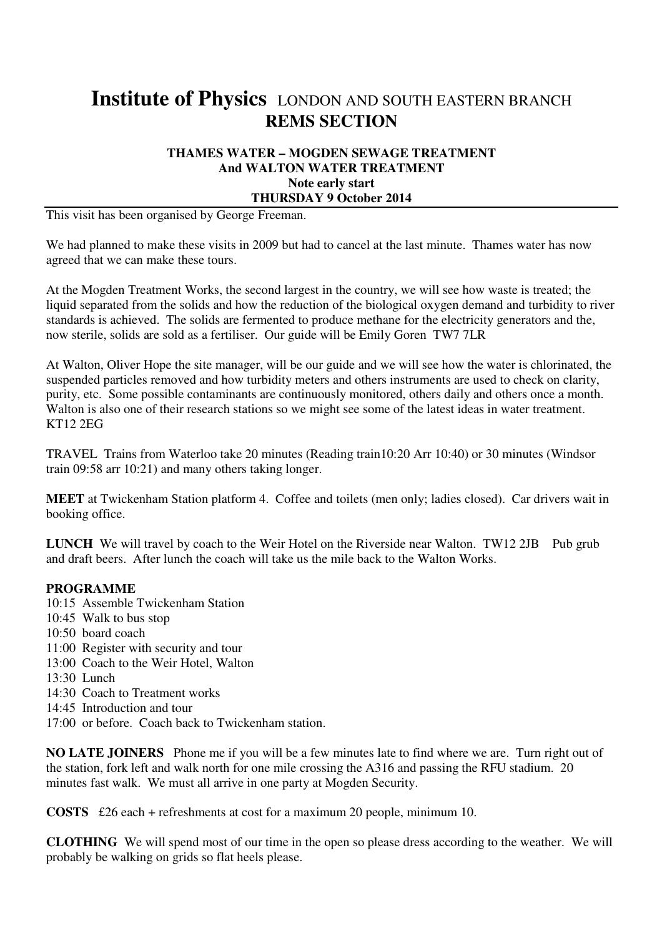# **Institute of Physics** LONDON AND SOUTH EASTERN BRANCH **REMS SECTION**

### **THAMES WATER – MOGDEN SEWAGE TREATMENT And WALTON WATER TREATMENT Note early start THURSDAY 9 October 2014**

This visit has been organised by George Freeman.

We had planned to make these visits in 2009 but had to cancel at the last minute. Thames water has now agreed that we can make these tours.

At the Mogden Treatment Works, the second largest in the country, we will see how waste is treated; the liquid separated from the solids and how the reduction of the biological oxygen demand and turbidity to river standards is achieved. The solids are fermented to produce methane for the electricity generators and the, now sterile, solids are sold as a fertiliser. Our guide will be Emily Goren TW7 7LR

At Walton, Oliver Hope the site manager, will be our guide and we will see how the water is chlorinated, the suspended particles removed and how turbidity meters and others instruments are used to check on clarity, purity, etc. Some possible contaminants are continuously monitored, others daily and others once a month. Walton is also one of their research stations so we might see some of the latest ideas in water treatment. KT12 2EG

TRAVEL Trains from Waterloo take 20 minutes (Reading train10:20 Arr 10:40) or 30 minutes (Windsor train 09:58 arr 10:21) and many others taking longer.

**MEET** at Twickenham Station platform 4. Coffee and toilets (men only; ladies closed). Car drivers wait in booking office.

LUNCH We will travel by coach to the Weir Hotel on the Riverside near Walton. TW12 2JB Pub grub and draft beers. After lunch the coach will take us the mile back to the Walton Works.

### **PROGRAMME**

- 10:15 Assemble Twickenham Station
- 10:45 Walk to bus stop
- 10:50 board coach
- 11:00 Register with security and tour
- 13:00 Coach to the Weir Hotel, Walton
- 13:30 Lunch
- 14:30 Coach to Treatment works
- 14:45 Introduction and tour
- 17:00 or before. Coach back to Twickenham station.

**NO LATE JOINERS** Phone me if you will be a few minutes late to find where we are. Turn right out of the station, fork left and walk north for one mile crossing the A316 and passing the RFU stadium. 20 minutes fast walk. We must all arrive in one party at Mogden Security.

**COSTS** £26 each + refreshments at cost for a maximum 20 people, minimum 10.

**CLOTHING** We will spend most of our time in the open so please dress according to the weather. We will probably be walking on grids so flat heels please.